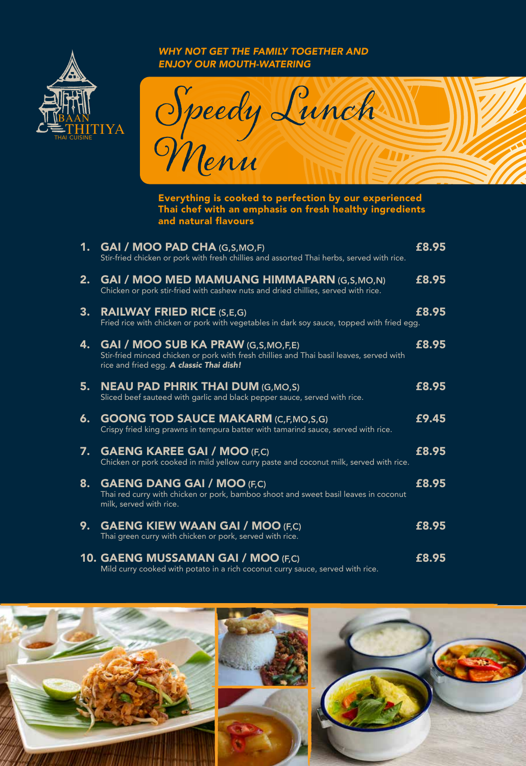

*WHY NOT GET THE FAMILY TOGETHER AND ENJOY OUR MOUTH-WATERING*



Everything is cooked to perfection by our experienced Thai chef with an emphasis on fresh healthy ingredients and natural flavours

| 1. | <b>GAI / MOO PAD CHA (G,S,MO,F)</b><br>Stir-fried chicken or pork with fresh chillies and assorted Thai herbs, served with rice.                                                  | £8.95 |
|----|-----------------------------------------------------------------------------------------------------------------------------------------------------------------------------------|-------|
| 2. | <b>GAI / MOO MED MAMUANG HIMMAPARN (G,S,MO,N)</b><br>Chicken or pork stir-fried with cashew nuts and dried chillies, served with rice.                                            | £8.95 |
| 3. | <b>RAILWAY FRIED RICE (S,E,G)</b><br>Fried rice with chicken or pork with vegetables in dark soy sauce, topped with fried egg.                                                    | £8.95 |
| 4. | <b>GAI / MOO SUB KA PRAW (G,S,MO,F,E)</b><br>Stir-fried minced chicken or pork with fresh chillies and Thai basil leaves, served with<br>rice and fried egg. A classic Thai dish! | £8.95 |
| 5. | <b>NEAU PAD PHRIK THAI DUM (G, MO, S)</b><br>Sliced beef sauteed with garlic and black pepper sauce, served with rice.                                                            | £8.95 |
| 6. | <b>GOONG TOD SAUCE MAKARM (C,F,MO,S,G)</b><br>Crispy fried king prawns in tempura batter with tamarind sauce, served with rice.                                                   | £9.45 |
| 7. | <b>GAENG KAREE GAI / MOO (F,C)</b><br>Chicken or pork cooked in mild yellow curry paste and coconut milk, served with rice.                                                       | £8.95 |
| 8. | <b>GAENG DANG GAI / MOO (F,C)</b><br>Thai red curry with chicken or pork, bamboo shoot and sweet basil leaves in coconut<br>milk, served with rice.                               | £8.95 |
| 9. | <b>GAENG KIEW WAAN GAI / MOO (F,C)</b><br>Thai green curry with chicken or pork, served with rice.                                                                                | £8.95 |
|    | 10. GAENG MUSSAMAN GAI / MOO (F,C)<br>Mild curry cooked with potato in a rich coconut curry sauce, served with rice.                                                              | £8.95 |